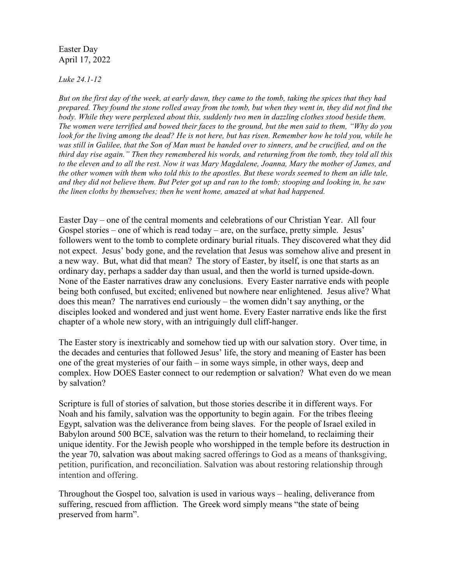Easter Day April 17, 2022

*Luke 24.1-12*

*But on the first day of the week, at early dawn, they came to the tomb, taking the spices that they had prepared. They found the stone rolled away from the tomb, but when they went in, they did not find the body. While they were perplexed about this, suddenly two men in dazzling clothes stood beside them. The women were terrified and bowed their faces to the ground, but the men said to them, "Why do you look for the living among the dead? He is not here, but has risen. Remember how he told you, while he was still in Galilee, that the Son of Man must be handed over to sinners, and be crucified, and on the third day rise again." Then they remembered his words, and returning from the tomb, they told all this to the eleven and to all the rest. Now it was Mary Magdalene, Joanna, Mary the mother of James, and the other women with them who told this to the apostles. But these words seemed to them an idle tale, and they did not believe them. But Peter got up and ran to the tomb; stooping and looking in, he saw the linen cloths by themselves; then he went home, amazed at what had happened.*

Easter Day – one of the central moments and celebrations of our Christian Year. All four Gospel stories – one of which is read today – are, on the surface, pretty simple. Jesus' followers went to the tomb to complete ordinary burial rituals. They discovered what they did not expect. Jesus' body gone, and the revelation that Jesus was somehow alive and present in a new way. But, what did that mean? The story of Easter, by itself, is one that starts as an ordinary day, perhaps a sadder day than usual, and then the world is turned upside-down. None of the Easter narratives draw any conclusions. Every Easter narrative ends with people being both confused, but excited; enlivened but nowhere near enlightened. Jesus alive? What does this mean? The narratives end curiously – the women didn't say anything, or the disciples looked and wondered and just went home. Every Easter narrative ends like the first chapter of a whole new story, with an intriguingly dull cliff-hanger.

The Easter story is inextricably and somehow tied up with our salvation story. Over time, in the decades and centuries that followed Jesus' life, the story and meaning of Easter has been one of the great mysteries of our faith – in some ways simple, in other ways, deep and complex. How DOES Easter connect to our redemption or salvation? What even do we mean by salvation?

Scripture is full of stories of salvation, but those stories describe it in different ways. For Noah and his family, salvation was the opportunity to begin again. For the tribes fleeing Egypt, salvation was the deliverance from being slaves. For the people of Israel exiled in Babylon around 500 BCE, salvation was the return to their homeland, to reclaiming their unique identity. For the Jewish people who worshipped in the temple before its destruction in the year 70, salvation was about making sacred offerings to God as a means of thanksgiving, petition, purification, and reconciliation. Salvation was about restoring relationship through intention and offering.

Throughout the Gospel too, salvation is used in various ways – healing, deliverance from suffering, rescued from affliction. The Greek word simply means "the state of being preserved from harm".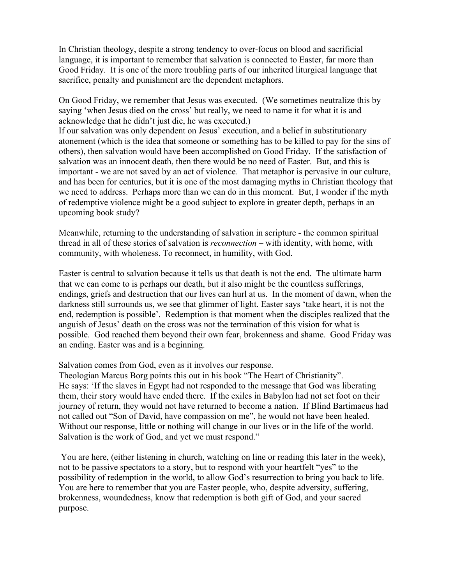In Christian theology, despite a strong tendency to over-focus on blood and sacrificial language, it is important to remember that salvation is connected to Easter, far more than Good Friday. It is one of the more troubling parts of our inherited liturgical language that sacrifice, penalty and punishment are the dependent metaphors.

On Good Friday, we remember that Jesus was executed. (We sometimes neutralize this by saying 'when Jesus died on the cross' but really, we need to name it for what it is and acknowledge that he didn't just die, he was executed.)

If our salvation was only dependent on Jesus' execution, and a belief in substitutionary atonement (which is the idea that someone or something has to be killed to pay for the sins of others), then salvation would have been accomplished on Good Friday. If the satisfaction of salvation was an innocent death, then there would be no need of Easter. But, and this is important - we are not saved by an act of violence. That metaphor is pervasive in our culture, and has been for centuries, but it is one of the most damaging myths in Christian theology that we need to address. Perhaps more than we can do in this moment. But, I wonder if the myth of redemptive violence might be a good subject to explore in greater depth, perhaps in an upcoming book study?

Meanwhile, returning to the understanding of salvation in scripture - the common spiritual thread in all of these stories of salvation is *reconnection* – with identity, with home, with community, with wholeness. To reconnect, in humility, with God.

Easter is central to salvation because it tells us that death is not the end. The ultimate harm that we can come to is perhaps our death, but it also might be the countless sufferings, endings, griefs and destruction that our lives can hurl at us. In the moment of dawn, when the darkness still surrounds us, we see that glimmer of light. Easter says 'take heart, it is not the end, redemption is possible'. Redemption is that moment when the disciples realized that the anguish of Jesus' death on the cross was not the termination of this vision for what is possible. God reached them beyond their own fear, brokenness and shame. Good Friday was an ending. Easter was and is a beginning.

Salvation comes from God, even as it involves our response.

Theologian Marcus Borg points this out in his book "The Heart of Christianity". He says: 'If the slaves in Egypt had not responded to the message that God was liberating them, their story would have ended there. If the exiles in Babylon had not set foot on their journey of return, they would not have returned to become a nation. If Blind Bartimaeus had not called out "Son of David, have compassion on me", he would not have been healed. Without our response, little or nothing will change in our lives or in the life of the world. Salvation is the work of God, and yet we must respond."

 You are here, (either listening in church, watching on line or reading this later in the week), not to be passive spectators to a story, but to respond with your heartfelt "yes" to the possibility of redemption in the world, to allow God's resurrection to bring you back to life. You are here to remember that you are Easter people, who, despite adversity, suffering, brokenness, woundedness, know that redemption is both gift of God, and your sacred purpose.